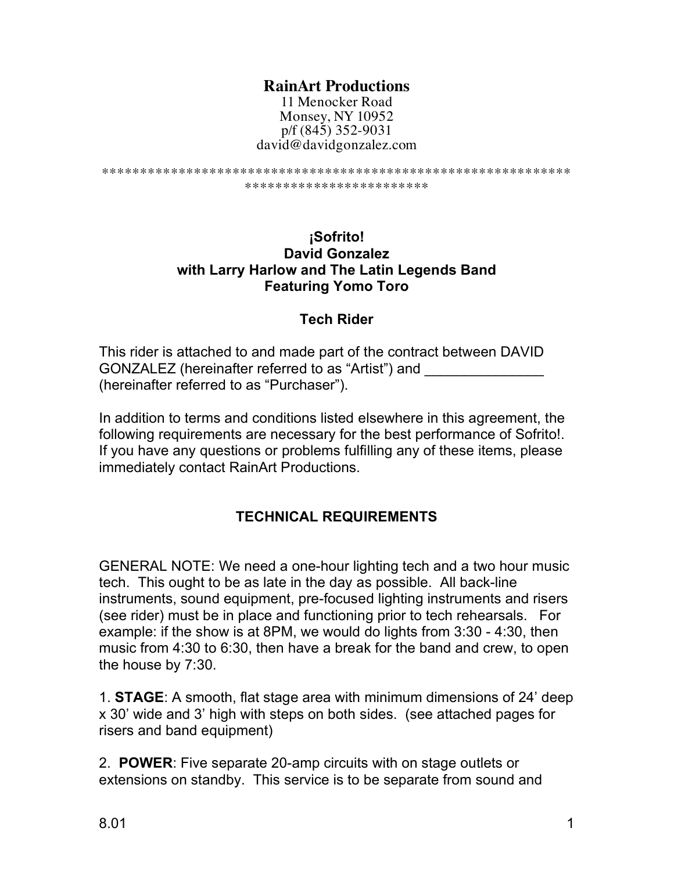### **RainArt Productions**

11 Menocker Road Monsey, NY 10952 p/f (845) 352-9031 david@davidgonzalez.com

```
*************************************************************
      ************************
```
**¡Sofrito! David Gonzalez with Larry Harlow and The Latin Legends Band Featuring Yomo Toro**

#### **Tech Rider**

This rider is attached to and made part of the contract between DAVID GONZALEZ (hereinafter referred to as "Artist") and \_\_\_\_\_\_\_\_\_\_\_\_\_\_\_ (hereinafter referred to as "Purchaser").

In addition to terms and conditions listed elsewhere in this agreement, the following requirements are necessary for the best performance of Sofrito!. If you have any questions or problems fulfilling any of these items, please immediately contact RainArt Productions.

#### **TECHNICAL REQUIREMENTS**

GENERAL NOTE: We need a one-hour lighting tech and a two hour music tech. This ought to be as late in the day as possible. All back-line instruments, sound equipment, pre-focused lighting instruments and risers (see rider) must be in place and functioning prior to tech rehearsals. For example: if the show is at 8PM, we would do lights from 3:30 - 4:30, then music from 4:30 to 6:30, then have a break for the band and crew, to open the house by 7:30.

1. **STAGE**: A smooth, flat stage area with minimum dimensions of 24' deep x 30' wide and 3' high with steps on both sides. (see attached pages for risers and band equipment)

2. **POWER**: Five separate 20-amp circuits with on stage outlets or extensions on standby. This service is to be separate from sound and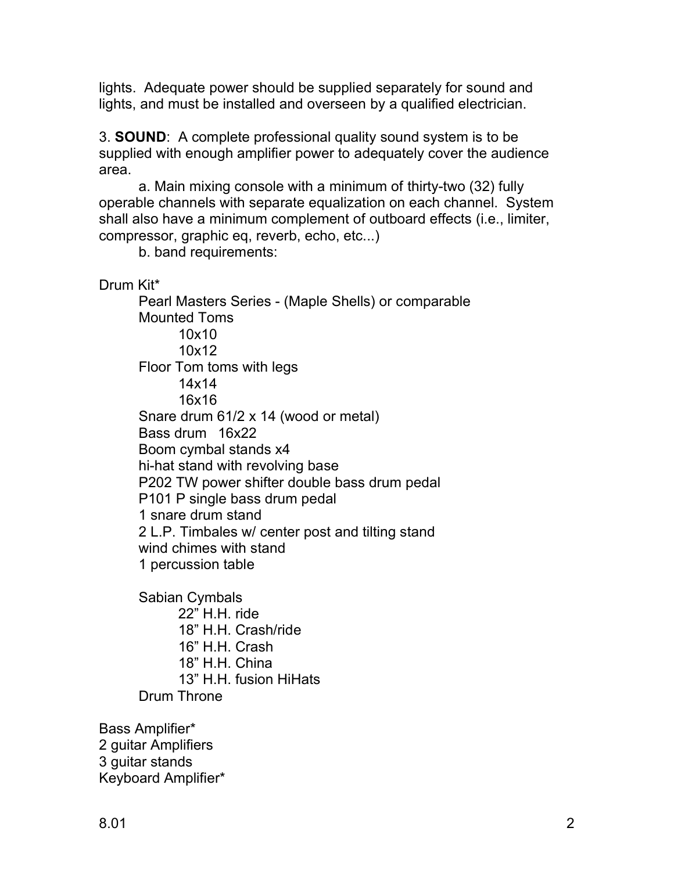lights. Adequate power should be supplied separately for sound and lights, and must be installed and overseen by a qualified electrician.

3. **SOUND**: A complete professional quality sound system is to be supplied with enough amplifier power to adequately cover the audience area.

a. Main mixing console with a minimum of thirty-two (32) fully operable channels with separate equalization on each channel. System shall also have a minimum complement of outboard effects (i.e., limiter, compressor, graphic eq, reverb, echo, etc...)

b. band requirements:

Drum Kit\*

Pearl Masters Series - (Maple Shells) or comparable Mounted Toms 10x10 10x12 Floor Tom toms with legs 14x14 16x16 Snare drum 61/2 x 14 (wood or metal) Bass drum 16x22 Boom cymbal stands x4 hi-hat stand with revolving base P202 TW power shifter double bass drum pedal P101 P single bass drum pedal 1 snare drum stand 2 L.P. Timbales w/ center post and tilting stand wind chimes with stand 1 percussion table

Sabian Cymbals 22" H.H. ride 18" H.H. Crash/ride 16" H.H. Crash 18" H.H. China 13" H.H. fusion HiHats Drum Throne

Bass Amplifier\* 2 guitar Amplifiers 3 guitar stands Keyboard Amplifier\*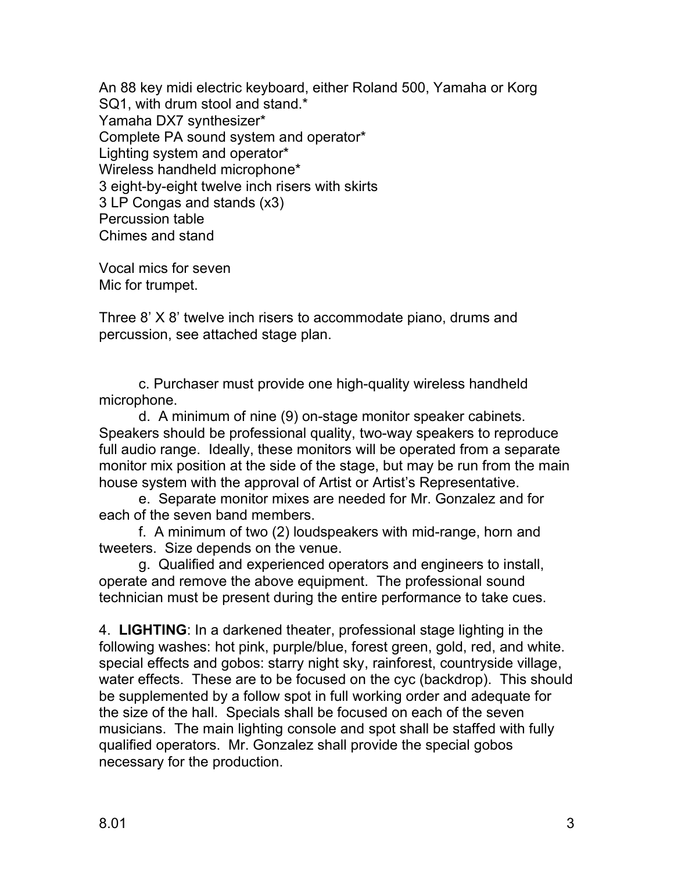An 88 key midi electric keyboard, either Roland 500, Yamaha or Korg SQ1, with drum stool and stand.\* Yamaha DX7 synthesizer\* Complete PA sound system and operator\* Lighting system and operator\* Wireless handheld microphone\* 3 eight-by-eight twelve inch risers with skirts 3 LP Congas and stands (x3) Percussion table Chimes and stand

Vocal mics for seven Mic for trumpet.

Three 8' X 8' twelve inch risers to accommodate piano, drums and percussion, see attached stage plan.

c. Purchaser must provide one high-quality wireless handheld microphone.

d. A minimum of nine (9) on-stage monitor speaker cabinets. Speakers should be professional quality, two-way speakers to reproduce full audio range. Ideally, these monitors will be operated from a separate monitor mix position at the side of the stage, but may be run from the main house system with the approval of Artist or Artist's Representative.

e. Separate monitor mixes are needed for Mr. Gonzalez and for each of the seven band members.

f. A minimum of two (2) loudspeakers with mid-range, horn and tweeters. Size depends on the venue.

g. Qualified and experienced operators and engineers to install, operate and remove the above equipment. The professional sound technician must be present during the entire performance to take cues.

4. **LIGHTING**: In a darkened theater, professional stage lighting in the following washes: hot pink, purple/blue, forest green, gold, red, and white. special effects and gobos: starry night sky, rainforest, countryside village, water effects. These are to be focused on the cyc (backdrop). This should be supplemented by a follow spot in full working order and adequate for the size of the hall. Specials shall be focused on each of the seven musicians. The main lighting console and spot shall be staffed with fully qualified operators. Mr. Gonzalez shall provide the special gobos necessary for the production.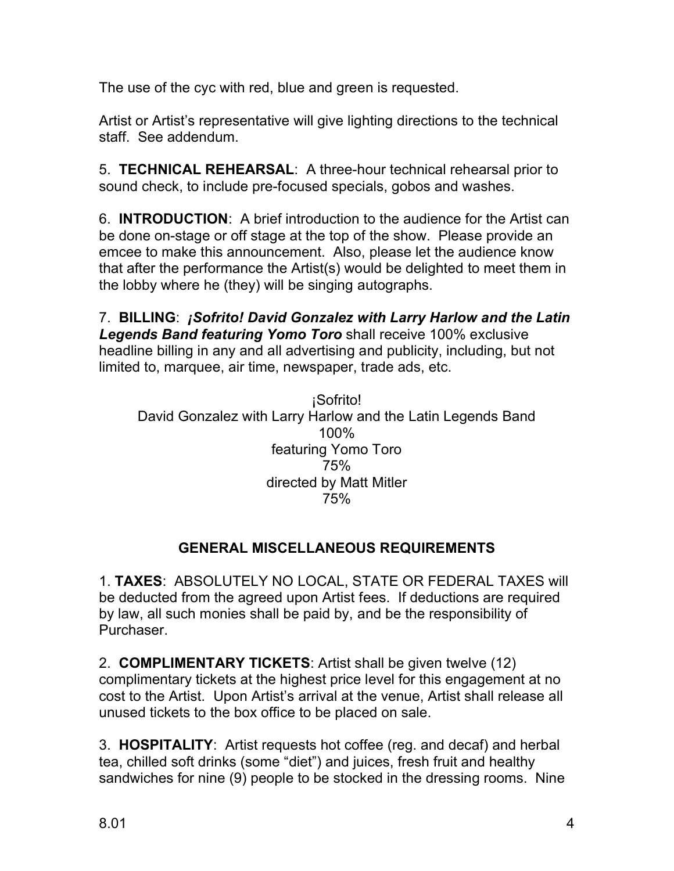The use of the cyc with red, blue and green is requested.

Artist or Artist's representative will give lighting directions to the technical staff. See addendum.

5. **TECHNICAL REHEARSAL**: A three-hour technical rehearsal prior to sound check, to include pre-focused specials, gobos and washes.

6. **INTRODUCTION**: A brief introduction to the audience for the Artist can be done on-stage or off stage at the top of the show. Please provide an emcee to make this announcement. Also, please let the audience know that after the performance the Artist(s) would be delighted to meet them in the lobby where he (they) will be singing autographs.

7. **BILLING**: *¡Sofrito! David Gonzalez with Larry Harlow and the Latin Legends Band featuring Yomo Toro* shall receive 100% exclusive headline billing in any and all advertising and publicity, including, but not limited to, marquee, air time, newspaper, trade ads, etc.

¡Sofrito! David Gonzalez with Larry Harlow and the Latin Legends Band 100% featuring Yomo Toro 75% directed by Matt Mitler 75%

## **GENERAL MISCELLANEOUS REQUIREMENTS**

1. **TAXES**: ABSOLUTELY NO LOCAL, STATE OR FEDERAL TAXES will be deducted from the agreed upon Artist fees. If deductions are required by law, all such monies shall be paid by, and be the responsibility of Purchaser.

2. **COMPLIMENTARY TICKETS**: Artist shall be given twelve (12) complimentary tickets at the highest price level for this engagement at no cost to the Artist. Upon Artist's arrival at the venue, Artist shall release all unused tickets to the box office to be placed on sale.

3. **HOSPITALITY**: Artist requests hot coffee (reg. and decaf) and herbal tea, chilled soft drinks (some "diet") and juices, fresh fruit and healthy sandwiches for nine (9) people to be stocked in the dressing rooms. Nine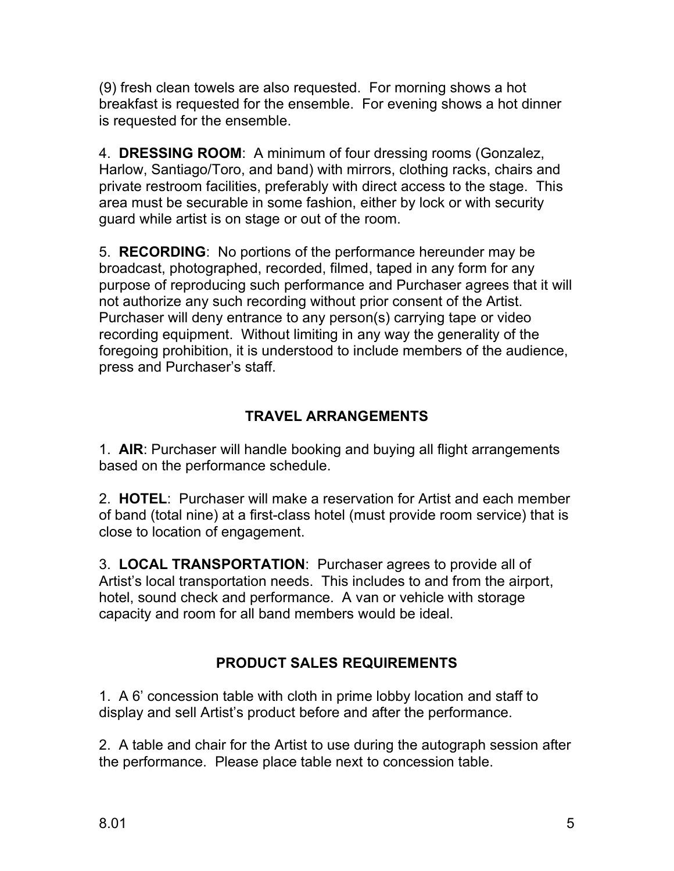(9) fresh clean towels are also requested. For morning shows a hot breakfast is requested for the ensemble. For evening shows a hot dinner is requested for the ensemble.

4. **DRESSING ROOM**: A minimum of four dressing rooms (Gonzalez, Harlow, Santiago/Toro, and band) with mirrors, clothing racks, chairs and private restroom facilities, preferably with direct access to the stage. This area must be securable in some fashion, either by lock or with security guard while artist is on stage or out of the room.

5. **RECORDING**: No portions of the performance hereunder may be broadcast, photographed, recorded, filmed, taped in any form for any purpose of reproducing such performance and Purchaser agrees that it will not authorize any such recording without prior consent of the Artist. Purchaser will deny entrance to any person(s) carrying tape or video recording equipment. Without limiting in any way the generality of the foregoing prohibition, it is understood to include members of the audience, press and Purchaser's staff.

# **TRAVEL ARRANGEMENTS**

1. **AIR**: Purchaser will handle booking and buying all flight arrangements based on the performance schedule.

2. **HOTEL**: Purchaser will make a reservation for Artist and each member of band (total nine) at a first-class hotel (must provide room service) that is close to location of engagement.

3. **LOCAL TRANSPORTATION**: Purchaser agrees to provide all of Artist's local transportation needs. This includes to and from the airport, hotel, sound check and performance. A van or vehicle with storage capacity and room for all band members would be ideal.

# **PRODUCT SALES REQUIREMENTS**

1. A 6' concession table with cloth in prime lobby location and staff to display and sell Artist's product before and after the performance.

2. A table and chair for the Artist to use during the autograph session after the performance. Please place table next to concession table.